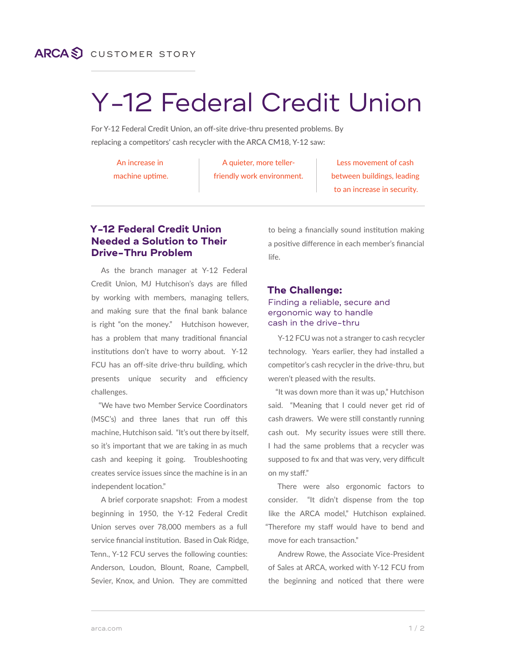## **ARCAS** CUSTOMER STORY

# Y-12 Federal Credit Union

For Y-12 Federal Credit Union, an off-site drive-thru presented problems. By replacing a competitors' cash recycler with the ARCA CM18, Y-12 saw:

An increase in

machine uptime.

A quieter, more tellerfriendly work environment.

Less movement of cash between buildings, leading to an increase in security.

### **Y-12 Federal Credit Union Needed a Solution to Their Drive-Thru Problem**

As the branch manager at Y-12 Federal Credit Union, MJ Hutchison's days are filled by working with members, managing tellers, and making sure that the final bank balance is right "on the money." Hutchison however, has a problem that many traditional financial institutions don't have to worry about. Y-12 FCU has an off-site drive-thru building, which presents unique security and efficiency challenges.

"We have two Member Service Coordinators (MSC's) and three lanes that run off this machine, Hutchison said. "It's out there by itself, so it's important that we are taking in as much cash and keeping it going. Troubleshooting creates service issues since the machine is in an independent location."

A brief corporate snapshot: From a modest beginning in 1950, the Y-12 Federal Credit Union serves over 78,000 members as a full service financial institution. Based in Oak Ridge, Tenn., Y-12 FCU serves the following counties: Anderson, Loudon, Blount, Roane, Campbell, Sevier, Knox, and Union. They are committed

to being a financially sound institution making a positive difference in each member's financial life.

#### **The Challenge:**

#### Finding a reliable, secure and ergonomic way to handle cash in the drive-thru

Y-12 FCU was not a stranger to cash recycler technology. Years earlier, they had installed a competitor's cash recycler in the drive-thru, but weren't pleased with the results.

"It was down more than it was up," Hutchison said. "Meaning that I could never get rid of cash drawers. We were still constantly running cash out. My security issues were still there. I had the same problems that a recycler was supposed to fix and that was very, very difficult on my staff."

There were also ergonomic factors to consider. "It didn't dispense from the top like the ARCA model," Hutchison explained. "Therefore my staff would have to bend and move for each transaction."

Andrew Rowe, the Associate Vice-President of Sales at ARCA, worked with Y-12 FCU from the beginning and noticed that there were